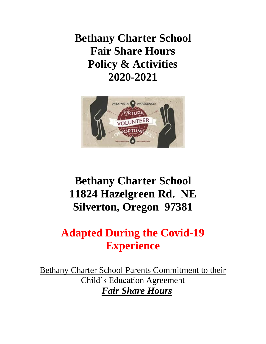**Bethany Charter School Fair Share Hours Policy & Activities 2020-2021**



# **Bethany Charter School 11824 Hazelgreen Rd. NE Silverton, Oregon 97381**

# **Adapted During the Covid-19 Experience**

Bethany Charter School Parents Commitment to their Child's Education Agreement *Fair Share Hours*